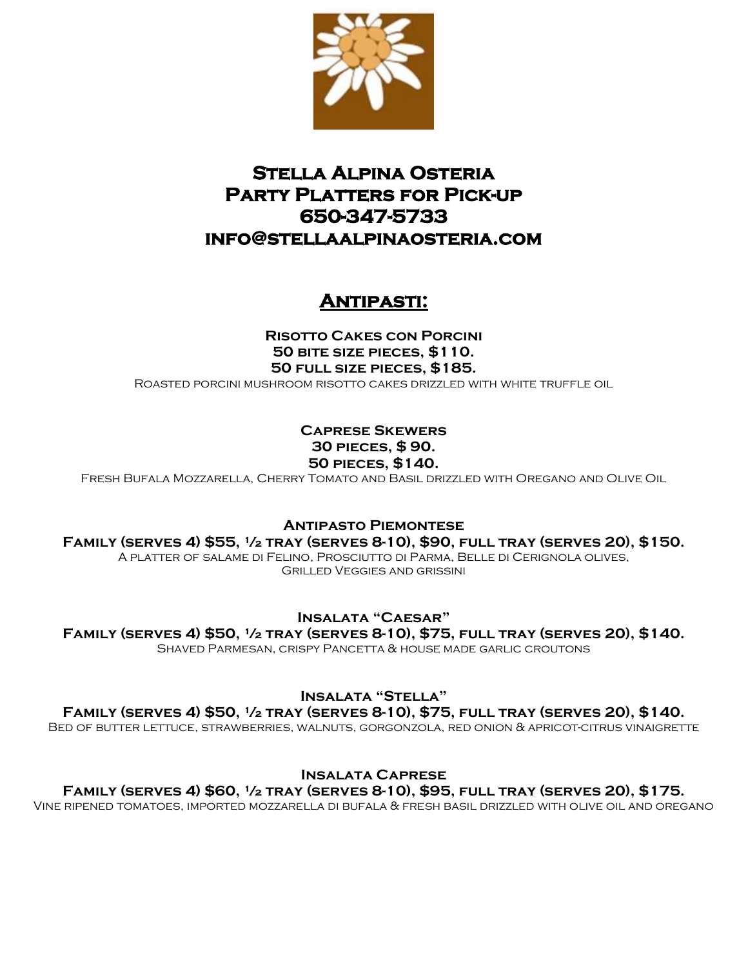

# **Stella Alpina Osteria Party Platters for Pick-up 650-347-5733 info@stellaalpinaosteria.com**

# **Antipasti:**

**Risotto Cakes con Porcini 50 bite size pieces, \$110. 50 full size pieces, \$185.** Roasted porcini mushroom risotto cakes drizzled with white truffle oil

## **Caprese Skewers 30 pieces, \$ 90. 50 pieces, \$140.**

Fresh Bufala Mozzarella, Cherry Tomato and Basil drizzled with Oregano and Olive Oil

**Antipasto Piemontese**

**Family (serves 4) \$55, ½ tray (serves 8-10), \$90, full tray (serves 20), \$150.**

A platter of salame di Felino, Prosciutto di Parma, Belle di Cerignola olives, Grilled Veggies and grissini

**Insalata "Caesar"**

**Family (serves 4) \$50, ½ tray (serves 8-10), \$75, full tray (serves 20), \$140.**

Shaved Parmesan, crispy Pancetta & house made garlic croutons

**Insalata "Stella"**

**Family (serves 4) \$50, ½ tray (serves 8-10), \$75, full tray (serves 20), \$140.**

Bed of butter lettuce, strawberries, walnuts, gorgonzola, red onion & apricot-citrus vinaigrette

**Insalata Caprese**

**Family (serves 4) \$60, ½ tray (serves 8-10), \$95, full tray (serves 20), \$175.**

Vine ripened tomatoes, imported mozzarella di bufala & fresh basil drizzled with olive oil and oregano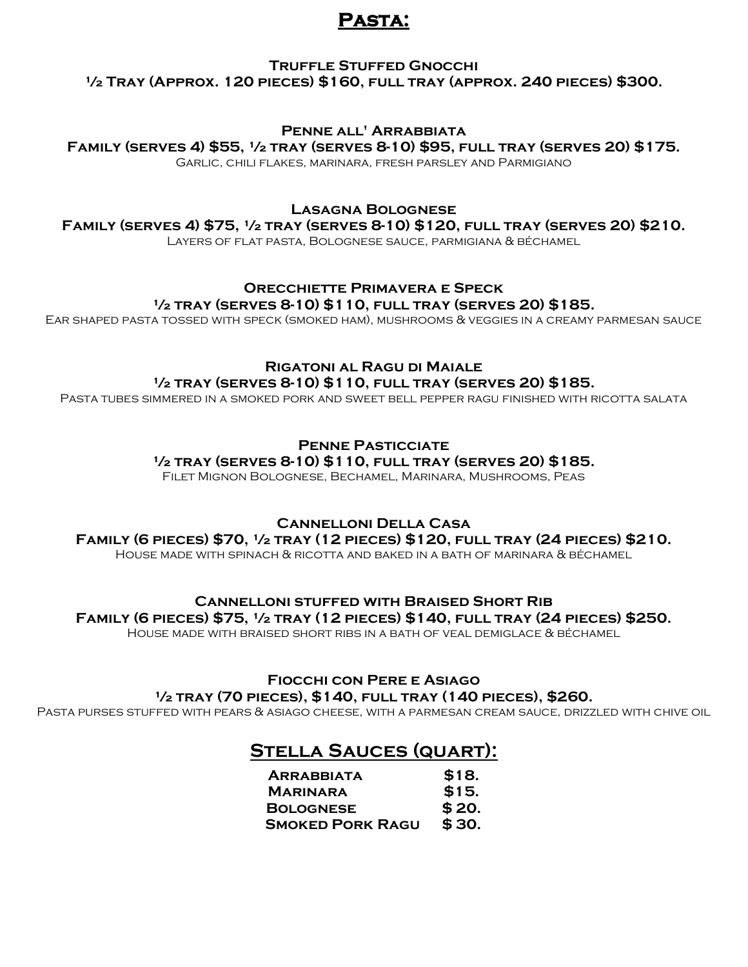## **Pasta:**

### **Truffle Stuffed Gnocchi ½ Tray (Approx. 120 pieces) \$160, full tray (approx. 240 pieces) \$300.**

### **Penne all' Arrabbiata**

**Family (serves 4) \$55, ½ tray (serves 8-10) \$95, full tray (serves 20) \$175.**

Garlic, chili flakes, marinara, fresh parsley and Parmigiano 

### **Lasagna Bolognese**

**Family (serves 4) \$75, ½ tray (serves 8-10) \$120, full tray (serves 20) \$210.**

Layers of flat pasta, Bolognese sauce, parmigiana & béchamel 

## **Orecchiette Primavera e Speck ½ tray (serves 8-10) \$110, full tray (serves 20) \$185.**

Ear shaped pasta tossed with speck (smoked ham), mushrooms & veggies in a creamy parmesan sauce 

### **Rigatoni al Ragu di Maiale ½ tray (serves 8-10) \$110, full tray (serves 20) \$185.**

Pasta tubes simmered in a smoked pork and sweet bell pepper ragu finished with ricotta salata

## **Penne Pasticciate**

**½ tray (serves 8-10) \$110, full tray (serves 20) \$185.**

Filet Mignon Bolognese, Bechamel, Marinara, Mushrooms, Peas

## **Cannelloni Della Casa**

**Family (6 pieces) \$70, ½ tray (12 pieces) \$120, full tray (24 pieces) \$210.**

House made with spinach & ricotta and baked in a bath of marinara & béchamel

#### **Cannelloni stuffed with Braised Short Rib Family (6 pieces) \$75, ½ tray (12 pieces) \$140, full tray (24 pieces) \$250.**

House made with braised short ribs in a bath of veal demiglace & béchamel

## **Fiocchi con Pere e Asiago**

#### **½ tray (70 pieces), \$140, full tray (140 pieces), \$260.**

Pasta purses stuffed with pears & asiago cheese, with a parmesan cream sauce, drizzled with chive oil

## **Stella Sauces (quart):**

| <b>ARRABBIATA</b>       | \$18.  |
|-------------------------|--------|
| <b>MARINARA</b>         | \$15.  |
| <b>BOLOGNESE</b>        | \$ 20. |
| <b>SMOKED PORK RAGU</b> | \$30.  |